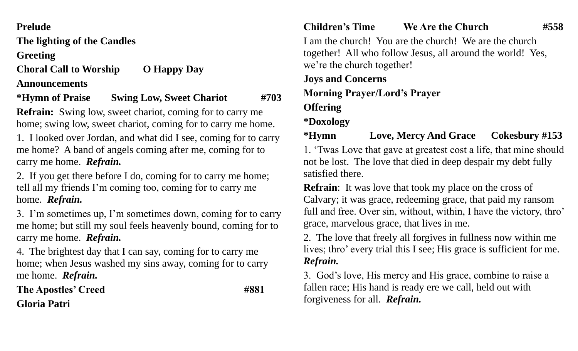### **Prelude**

**The lighting of the Candles**

**Greeting**

**Choral Call to Worship O Happy Day** 

#### **Announcements**

## **\*Hymn of Praise Swing Low, Sweet Chariot #703**

**Refrain:** Swing low, sweet chariot, coming for to carry me home; swing low, sweet chariot, coming for to carry me home.

1. I looked over Jordan, and what did I see, coming for to carry me home? A band of angels coming after me, coming for to carry me home. *Refrain.*

2. If you get there before I do, coming for to carry me home; tell all my friends I'm coming too, coming for to carry me home. *Refrain.*

3. I'm sometimes up, I'm sometimes down, coming for to carry me home; but still my soul feels heavenly bound, coming for to carry me home. *Refrain.*

4. The brightest day that I can say, coming for to carry me home; when Jesus washed my sins away, coming for to carry me home. *Refrain.*

The Apostles' Creed #881 **Gloria Patri**

### **Children's Time We Are the Church #558**

I am the church! You are the church! We are the church together! All who follow Jesus, all around the world! Yes, we're the church together!

**Joys and Concerns Morning Prayer/Lord's Prayer**

# **Offering**

## **\*Doxology**

**\*Hymn Love, Mercy And Grace Cokesbury #153** 1. 'Twas Love that gave at greatest cost a life, that mine should

not be lost. The love that died in deep despair my debt fully satisfied there.

**Refrain**: It was love that took my place on the cross of Calvary; it was grace, redeeming grace, that paid my ransom full and free. Over sin, without, within, I have the victory, thro' grace, marvelous grace, that lives in me.

2. The love that freely all forgives in fullness now within me lives; thro' every trial this I see; His grace is sufficient for me. *Refrain.*

3. God's love, His mercy and His grace, combine to raise a fallen race; His hand is ready ere we call, held out with forgiveness for all. *Refrain.*